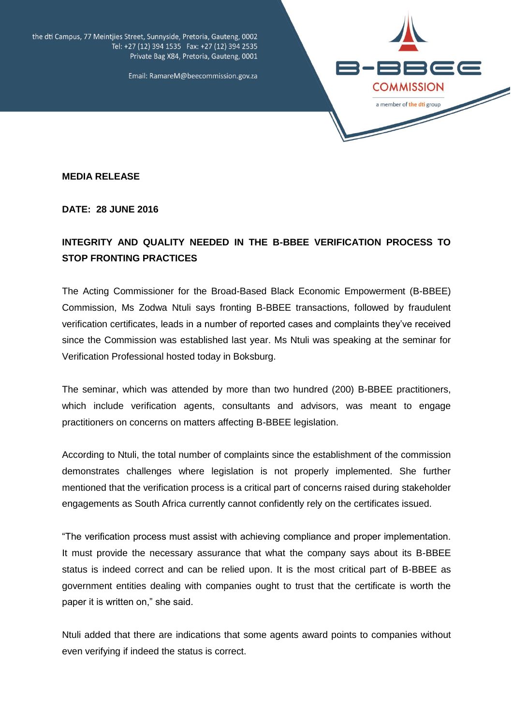

the dti Campus, 77 Meintjies Street, Sunnyside, Pretoria, Gauteng, 0002 Tel: +27 (12) 394 1535 Fax: +27 (12) 394 2535 Private Bag X84, Pretoria, Gauteng, 0001

Email: RamareM@beecommission.gov.za

**MEDIA RELEASE** 

**DATE: 28 JUNE 2016**

## **INTEGRITY AND QUALITY NEEDED IN THE B-BBEE VERIFICATION PROCESS TO STOP FRONTING PRACTICES**

The Acting Commissioner for the Broad-Based Black Economic Empowerment (B-BBEE) Commission, Ms Zodwa Ntuli says fronting B-BBEE transactions, followed by fraudulent verification certificates, leads in a number of reported cases and complaints they've received since the Commission was established last year. Ms Ntuli was speaking at the seminar for Verification Professional hosted today in Boksburg.

The seminar, which was attended by more than two hundred (200) B-BBEE practitioners, which include verification agents, consultants and advisors, was meant to engage practitioners on concerns on matters affecting B-BBEE legislation.

According to Ntuli, the total number of complaints since the establishment of the commission demonstrates challenges where legislation is not properly implemented. She further mentioned that the verification process is a critical part of concerns raised during stakeholder engagements as South Africa currently cannot confidently rely on the certificates issued.

"The verification process must assist with achieving compliance and proper implementation. It must provide the necessary assurance that what the company says about its B-BBEE status is indeed correct and can be relied upon. It is the most critical part of B-BBEE as government entities dealing with companies ought to trust that the certificate is worth the paper it is written on," she said.

Ntuli added that there are indications that some agents award points to companies without even verifying if indeed the status is correct.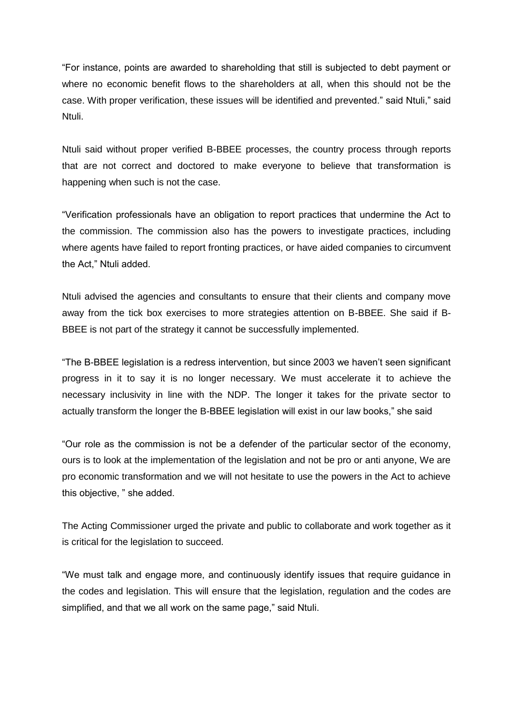"For instance, points are awarded to shareholding that still is subjected to debt payment or where no economic benefit flows to the shareholders at all, when this should not be the case. With proper verification, these issues will be identified and prevented." said Ntuli," said Ntuli.

Ntuli said without proper verified B-BBEE processes, the country process through reports that are not correct and doctored to make everyone to believe that transformation is happening when such is not the case.

"Verification professionals have an obligation to report practices that undermine the Act to the commission. The commission also has the powers to investigate practices, including where agents have failed to report fronting practices, or have aided companies to circumvent the Act," Ntuli added.

Ntuli advised the agencies and consultants to ensure that their clients and company move away from the tick box exercises to more strategies attention on B-BBEE. She said if B-BBEE is not part of the strategy it cannot be successfully implemented.

"The B-BBEE legislation is a redress intervention, but since 2003 we haven't seen significant progress in it to say it is no longer necessary. We must accelerate it to achieve the necessary inclusivity in line with the NDP. The longer it takes for the private sector to actually transform the longer the B-BBEE legislation will exist in our law books," she said

"Our role as the commission is not be a defender of the particular sector of the economy, ours is to look at the implementation of the legislation and not be pro or anti anyone, We are pro economic transformation and we will not hesitate to use the powers in the Act to achieve this objective, " she added.

The Acting Commissioner urged the private and public to collaborate and work together as it is critical for the legislation to succeed.

"We must talk and engage more, and continuously identify issues that require guidance in the codes and legislation. This will ensure that the legislation, regulation and the codes are simplified, and that we all work on the same page," said Ntuli.